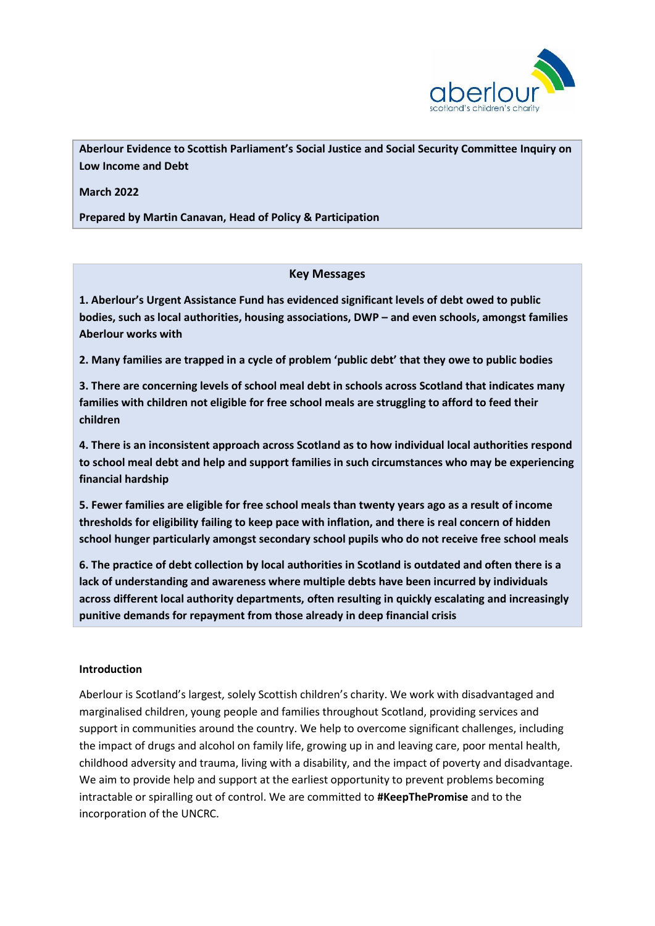

**Aberlour Evidence to Scottish Parliament's Social Justice and Social Security Committee Inquiry on Low Income and Debt** 

**March 2022**

**Prepared by Martin Canavan, Head of Policy & Participation**

## **Key Messages**

**1. Aberlour's Urgent Assistance Fund has evidenced significant levels of debt owed to public bodies, such as local authorities, housing associations, DWP – and even schools, amongst families Aberlour works with**

**2. Many families are trapped in a cycle of problem 'public debt' that they owe to public bodies**

**3. There are concerning levels of school meal debt in schools across Scotland that indicates many families with children not eligible for free school meals are struggling to afford to feed their children**

**4. There is an inconsistent approach across Scotland as to how individual local authorities respond to school meal debt and help and support families in such circumstances who may be experiencing financial hardship**

**5. Fewer families are eligible for free school meals than twenty years ago as a result of income thresholds for eligibility failing to keep pace with inflation, and there is real concern of hidden school hunger particularly amongst secondary school pupils who do not receive free school meals** 

**6. The practice of debt collection by local authorities in Scotland is outdated and often there is a lack of understanding and awareness where multiple debts have been incurred by individuals across different local authority departments, often resulting in quickly escalating and increasingly punitive demands for repayment from those already in deep financial crisis**

### **Introduction**

Aberlour is Scotland's largest, solely Scottish children's charity. We work with disadvantaged and marginalised children, young people and families throughout Scotland, providing services and support in communities around the country. We help to overcome significant challenges, including the impact of drugs and alcohol on family life, growing up in and leaving care, poor mental health, childhood adversity and trauma, living with a disability, and the impact of poverty and disadvantage. We aim to provide help and support at the earliest opportunity to prevent problems becoming intractable or spiralling out of control. We are committed to **#KeepThePromise** and to the incorporation of the UNCRC.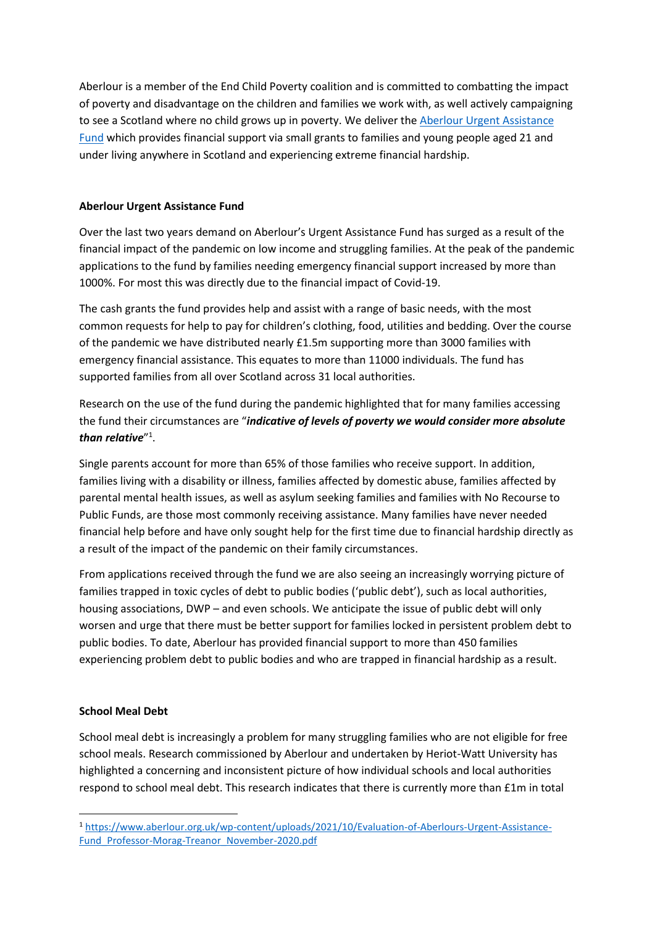Aberlour is a member of the End Child Poverty coalition and is committed to combatting the impact of poverty and disadvantage on the children and families we work with, as well actively campaigning to see a Scotland where no child grows up in poverty. We deliver the [Aberlour Urgent Assistance](https://www.aberlour.org.uk/urgentassistancefund/)  [Fund](https://www.aberlour.org.uk/urgentassistancefund/) which provides financial support via small grants to families and young people aged 21 and under living anywhere in Scotland and experiencing extreme financial hardship.

## **Aberlour Urgent Assistance Fund**

Over the last two years demand on Aberlour's Urgent Assistance Fund has surged as a result of the financial impact of the pandemic on low income and struggling families. At the peak of the pandemic applications to the fund by families needing emergency financial support increased by more than 1000%. For most this was directly due to the financial impact of Covid-19.

The cash grants the fund provides help and assist with a range of basic needs, with the most common requests for help to pay for children's clothing, food, utilities and bedding. Over the course of the pandemic we have distributed nearly £1.5m supporting more than 3000 families with emergency financial assistance. This equates to more than 11000 individuals. The fund has supported families from all over Scotland across 31 local authorities.

Research on the use of the fund during the pandemic highlighted that for many families accessing the fund their circumstances are "*indicative of levels of poverty we would consider more absolute than relative*" 1 .

Single parents account for more than 65% of those families who receive support. In addition, families living with a disability or illness, families affected by domestic abuse, families affected by parental mental health issues, as well as asylum seeking families and families with No Recourse to Public Funds, are those most commonly receiving assistance. Many families have never needed financial help before and have only sought help for the first time due to financial hardship directly as a result of the impact of the pandemic on their family circumstances.

From applications received through the fund we are also seeing an increasingly worrying picture of families trapped in toxic cycles of debt to public bodies ('public debt'), such as local authorities, housing associations, DWP – and even schools. We anticipate the issue of public debt will only worsen and urge that there must be better support for families locked in persistent problem debt to public bodies. To date, Aberlour has provided financial support to more than 450 families experiencing problem debt to public bodies and who are trapped in financial hardship as a result.

### **School Meal Debt**

1

School meal debt is increasingly a problem for many struggling families who are not eligible for free school meals. Research commissioned by Aberlour and undertaken by Heriot-Watt University has highlighted a concerning and inconsistent picture of how individual schools and local authorities respond to school meal debt. This research indicates that there is currently more than £1m in total

<sup>1</sup> [https://www.aberlour.org.uk/wp-content/uploads/2021/10/Evaluation-of-Aberlours-Urgent-Assistance-](https://www.aberlour.org.uk/wp-content/uploads/2021/10/Evaluation-of-Aberlours-Urgent-Assistance-Fund_Professor-Morag-Treanor_November-2020.pdf)Fund Professor-Morag-Treanor November-2020.pdf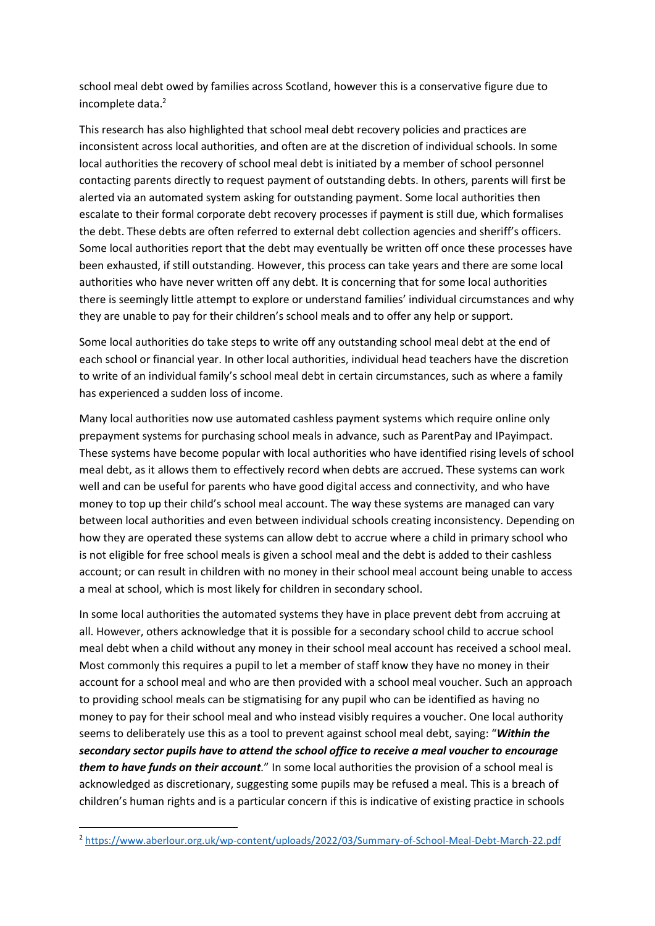school meal debt owed by families across Scotland, however this is a conservative figure due to incomplete data.<sup>2</sup>

This research has also highlighted that school meal debt recovery policies and practices are inconsistent across local authorities, and often are at the discretion of individual schools. In some local authorities the recovery of school meal debt is initiated by a member of school personnel contacting parents directly to request payment of outstanding debts. In others, parents will first be alerted via an automated system asking for outstanding payment. Some local authorities then escalate to their formal corporate debt recovery processes if payment is still due, which formalises the debt. These debts are often referred to external debt collection agencies and sheriff's officers. Some local authorities report that the debt may eventually be written off once these processes have been exhausted, if still outstanding. However, this process can take years and there are some local authorities who have never written off any debt. It is concerning that for some local authorities there is seemingly little attempt to explore or understand families' individual circumstances and why they are unable to pay for their children's school meals and to offer any help or support.

Some local authorities do take steps to write off any outstanding school meal debt at the end of each school or financial year. In other local authorities, individual head teachers have the discretion to write of an individual family's school meal debt in certain circumstances, such as where a family has experienced a sudden loss of income.

Many local authorities now use automated cashless payment systems which require online only prepayment systems for purchasing school meals in advance, such as ParentPay and IPayimpact. These systems have become popular with local authorities who have identified rising levels of school meal debt, as it allows them to effectively record when debts are accrued. These systems can work well and can be useful for parents who have good digital access and connectivity, and who have money to top up their child's school meal account. The way these systems are managed can vary between local authorities and even between individual schools creating inconsistency. Depending on how they are operated these systems can allow debt to accrue where a child in primary school who is not eligible for free school meals is given a school meal and the debt is added to their cashless account; or can result in children with no money in their school meal account being unable to access a meal at school, which is most likely for children in secondary school.

In some local authorities the automated systems they have in place prevent debt from accruing at all. However, others acknowledge that it is possible for a secondary school child to accrue school meal debt when a child without any money in their school meal account has received a school meal. Most commonly this requires a pupil to let a member of staff know they have no money in their account for a school meal and who are then provided with a school meal voucher. Such an approach to providing school meals can be stigmatising for any pupil who can be identified as having no money to pay for their school meal and who instead visibly requires a voucher. One local authority seems to deliberately use this as a tool to prevent against school meal debt, saying: "*Within the secondary sector pupils have to attend the school office to receive a meal voucher to encourage them to have funds on their account.*" In some local authorities the provision of a school meal is acknowledged as discretionary, suggesting some pupils may be refused a meal. This is a breach of children's human rights and is a particular concern if this is indicative of existing practice in schools

**.** 

<sup>2</sup> <https://www.aberlour.org.uk/wp-content/uploads/2022/03/Summary-of-School-Meal-Debt-March-22.pdf>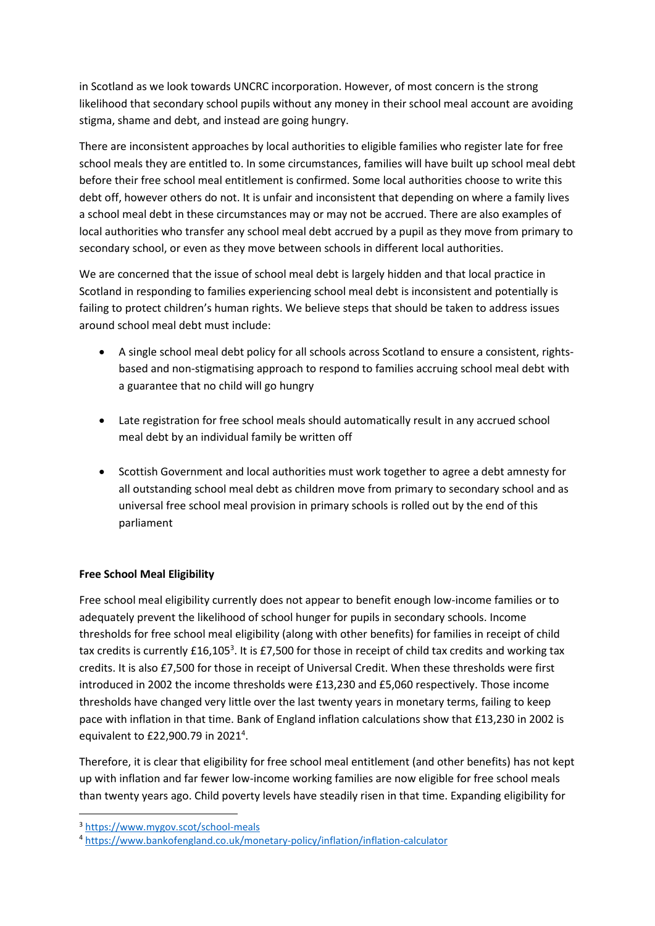in Scotland as we look towards UNCRC incorporation. However, of most concern is the strong likelihood that secondary school pupils without any money in their school meal account are avoiding stigma, shame and debt, and instead are going hungry.

There are inconsistent approaches by local authorities to eligible families who register late for free school meals they are entitled to. In some circumstances, families will have built up school meal debt before their free school meal entitlement is confirmed. Some local authorities choose to write this debt off, however others do not. It is unfair and inconsistent that depending on where a family lives a school meal debt in these circumstances may or may not be accrued. There are also examples of local authorities who transfer any school meal debt accrued by a pupil as they move from primary to secondary school, or even as they move between schools in different local authorities.

We are concerned that the issue of school meal debt is largely hidden and that local practice in Scotland in responding to families experiencing school meal debt is inconsistent and potentially is failing to protect children's human rights. We believe steps that should be taken to address issues around school meal debt must include:

- A single school meal debt policy for all schools across Scotland to ensure a consistent, rightsbased and non-stigmatising approach to respond to families accruing school meal debt with a guarantee that no child will go hungry
- Late registration for free school meals should automatically result in any accrued school meal debt by an individual family be written off
- Scottish Government and local authorities must work together to agree a debt amnesty for all outstanding school meal debt as children move from primary to secondary school and as universal free school meal provision in primary schools is rolled out by the end of this parliament

# **Free School Meal Eligibility**

Free school meal eligibility currently does not appear to benefit enough low-income families or to adequately prevent the likelihood of school hunger for pupils in secondary schools. Income thresholds for free school meal eligibility (along with other benefits) for families in receipt of child tax credits is currently £16,105<sup>3</sup>. It is £7,500 for those in receipt of child tax credits and working tax credits. It is also £7,500 for those in receipt of Universal Credit. When these thresholds were first introduced in 2002 the income thresholds were £13,230 and £5,060 respectively. Those income thresholds have changed very little over the last twenty years in monetary terms, failing to keep pace with inflation in that time. Bank of England inflation calculations show that £13,230 in 2002 is equivalent to £22,900.79 in 2021<sup>4</sup>.

Therefore, it is clear that eligibility for free school meal entitlement (and other benefits) has not kept up with inflation and far fewer low-income working families are now eligible for free school meals than twenty years ago. Child poverty levels have steadily risen in that time. Expanding eligibility for

1

<sup>3</sup> <https://www.mygov.scot/school-meals>

<sup>4</sup> <https://www.bankofengland.co.uk/monetary-policy/inflation/inflation-calculator>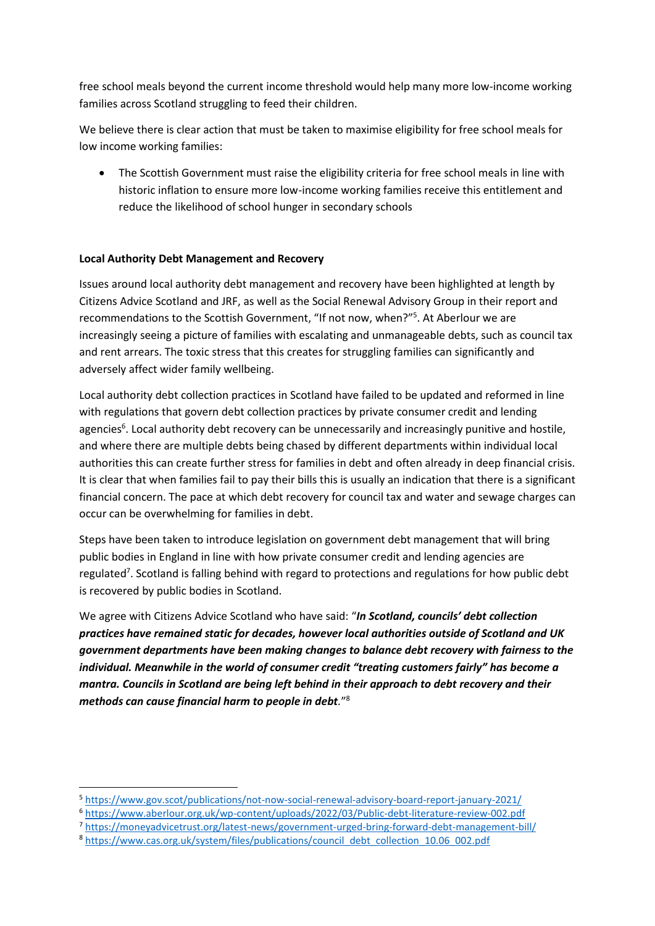free school meals beyond the current income threshold would help many more low-income working families across Scotland struggling to feed their children.

We believe there is clear action that must be taken to maximise eligibility for free school meals for low income working families:

• The Scottish Government must raise the eligibility criteria for free school meals in line with historic inflation to ensure more low-income working families receive this entitlement and reduce the likelihood of school hunger in secondary schools

# **Local Authority Debt Management and Recovery**

Issues around local authority debt management and recovery have been highlighted at length by Citizens Advice Scotland and JRF, as well as the Social Renewal Advisory Group in their report and recommendations to the Scottish Government, "If not now, when?"<sup>5</sup>. At Aberlour we are increasingly seeing a picture of families with escalating and unmanageable debts, such as council tax and rent arrears. The toxic stress that this creates for struggling families can significantly and adversely affect wider family wellbeing.

Local authority debt collection practices in Scotland have failed to be updated and reformed in line with regulations that govern debt collection practices by private consumer credit and lending agencies<sup>6</sup>. Local authority debt recovery can be unnecessarily and increasingly punitive and hostile, and where there are multiple debts being chased by different departments within individual local authorities this can create further stress for families in debt and often already in deep financial crisis. It is clear that when families fail to pay their bills this is usually an indication that there is a significant financial concern. The pace at which debt recovery for council tax and water and sewage charges can occur can be overwhelming for families in debt.

Steps have been taken to introduce legislation on government debt management that will bring public bodies in England in line with how private consumer credit and lending agencies are regulated<sup>7</sup>. Scotland is falling behind with regard to protections and regulations for how public debt is recovered by public bodies in Scotland.

We agree with Citizens Advice Scotland who have said: "*In Scotland, councils' debt collection practices have remained static for decades, however local authorities outside of Scotland and UK government departments have been making changes to balance debt recovery with fairness to the individual. Meanwhile in the world of consumer credit "treating customers fairly" has become a mantra. Councils in Scotland are being left behind in their approach to debt recovery and their methods can cause financial harm to people in debt.*" 8

1

<sup>5</sup> <https://www.gov.scot/publications/not-now-social-renewal-advisory-board-report-january-2021/>

<sup>6</sup> <https://www.aberlour.org.uk/wp-content/uploads/2022/03/Public-debt-literature-review-002.pdf>

<sup>7</sup> <https://moneyadvicetrust.org/latest-news/government-urged-bring-forward-debt-management-bill/>

<sup>8</sup> [https://www.cas.org.uk/system/files/publications/council\\_debt\\_collection\\_10.06\\_002.pdf](https://www.cas.org.uk/system/files/publications/council_debt_collection_10.06_002.pdf)